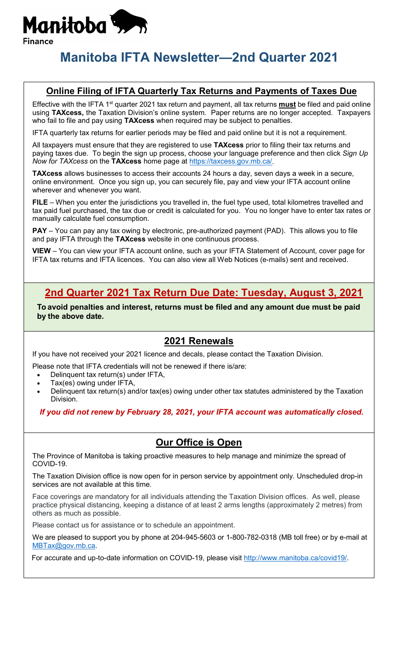

# **Manitoba IFTA Newsletter—2nd Quarter 2021**

#### **Online Filing of IFTA Quarterly Tax Returns and Payments of Taxes Due**

Effective with the IFTA 1<sup>st</sup> quarter 2021 tax return and payment, all tax returns **must** be filed and paid online using **TAXcess,** the Taxation Division's online system. Paper returns are no longer accepted. Taxpayers who fail to file and pay using **TAXcess** when required may be subject to penalties.

IFTA quarterly tax returns for earlier periods may be filed and paid online but it is not a requirement.

All taxpayers must ensure that they are registered to use **TAXcess** prior to filing their tax returns and paying taxes due. To begin the sign up process, choose your language preference and then click *Sign Up Now for TAXcess* on the **TAXcess** home page at [https://taxcess.gov.mb.ca/.](https://taxcess.gov.mb.ca/)

**TAXcess** allows businesses to access their accounts 24 hours a day, seven days a week in a secure, online environment. Once you sign up, you can securely file, pay and view your IFTA account online wherever and whenever you want.

**FILE** – When you enter the jurisdictions you travelled in, the fuel type used, total kilometres travelled and tax paid fuel purchased, the tax due or credit is calculated for you. You no longer have to enter tax rates or manually calculate fuel consumption.

**PAY** – You can pay any tax owing by electronic, pre-authorized payment (PAD). This allows you to file and pay IFTA through the **TAXcess** website in one continuous process.

**VIEW** – You can view your IFTA account online, such as your IFTA Statement of Account, cover page for IFTA tax returns and IFTA licences. You can also view all Web Notices (e-mails) sent and received.

## **2nd Quarter 2021 Tax Return Due Date: Tuesday, August 3, 2021**

**To avoid penalties and interest, returns must be filed and any amount due must be paid by the above date.**

#### **2021 Renewals**

If you have not received your 2021 licence and decals, please contact the Taxation Division.

Please note that IFTA credentials will not be renewed if there is/are:

- Delinquent tax return(s) under IFTA,
- Tax(es) owing under IFTA,
- Delinquent tax return(s) and/or tax(es) owing under other tax statutes administered by the Taxation Division.

*If you did not renew by February 28, 2021, your IFTA account was automatically closed.*

#### **Our Office is Open**

The Province of Manitoba is taking proactive measures to help manage and minimize the spread of COVID-19.

The Taxation Division office is now open for in person service by appointment only. Unscheduled drop-in services are not available at this time.

Face coverings are mandatory for all individuals attending the Taxation Division offices. As well, please practice physical distancing, keeping a distance of at least 2 arms lengths (approximately 2 metres) from others as much as possible.

Please contact us for assistance or to schedule an appointment.

We are pleased to support you by phone at 204-945-5603 or 1-800-782-0318 (MB toll free) or by e-mail at [MBTax@gov.mb.ca.](mailto:MBTax@gov.mb.ca)

For accurate and up-to-date information on COVID-19, please visit [http://www.manitoba.ca/covid19/.](http://www.manitoba.ca/covid19/)